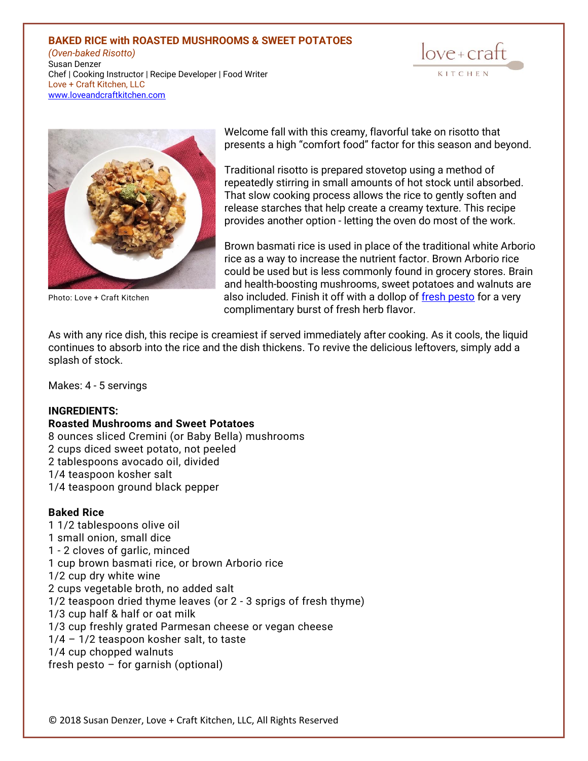# **BAKED RICE with ROASTED MUSHROOMS & SWEET POTATOES**

*(Oven-baked Risotto)* Susan Denzer Chef | Cooking Instructor | Recipe Developer | Food Writer Love + Craft Kitchen, LLC [www.loveandcraftkitchen.com](http://www.loveandcraftkitchen.com/)





Welcome fall with this creamy, flavorful take on risotto that presents a high "comfort food" factor for this season and beyond.

Traditional risotto is prepared stovetop using a method of repeatedly stirring in small amounts of hot stock until absorbed. That slow cooking process allows the rice to gently soften and release starches that help create a creamy texture. This recipe provides another option - letting the oven do most of the work.

Brown basmati rice is used in place of the traditional white Arborio rice as a way to increase the nutrient factor. Brown Arborio rice could be used but is less commonly found in grocery stores. Brain and health-boosting mushrooms, sweet potatoes and walnuts are Photo: Love + Craft Kitchen also included. Finish it off with a dollop of [fresh pesto](https://www.loveandcraftkitchen.com/2021/09/03/basil-and-super-greens-pesto/) for a very complimentary burst of fresh herb flavor.

As with any rice dish, this recipe is creamiest if served immediately after cooking. As it cools, the liquid continues to absorb into the rice and the dish thickens. To revive the delicious leftovers, simply add a splash of stock.

Makes: 4 - 5 servings

# **INGREDIENTS:**

#### **Roasted Mushrooms and Sweet Potatoes**

- 8 ounces sliced Cremini (or Baby Bella) mushrooms
- 2 cups diced sweet potato, not peeled
- 2 tablespoons avocado oil, divided
- 1/4 teaspoon kosher salt
- 1/4 teaspoon ground black pepper

# **Baked Rice**

1 1/2 tablespoons olive oil 1 small onion, small dice 1 - 2 cloves of garlic, minced 1 cup brown basmati rice, or brown Arborio rice 1/2 cup dry white wine 2 cups vegetable broth, no added salt 1/2 teaspoon dried thyme leaves (or 2 - 3 sprigs of fresh thyme) 1/3 cup half & half or oat milk 1/3 cup freshly grated Parmesan cheese or vegan cheese 1/4 – 1/2 teaspoon kosher salt, to taste 1/4 cup chopped walnuts fresh pesto – for garnish (optional)